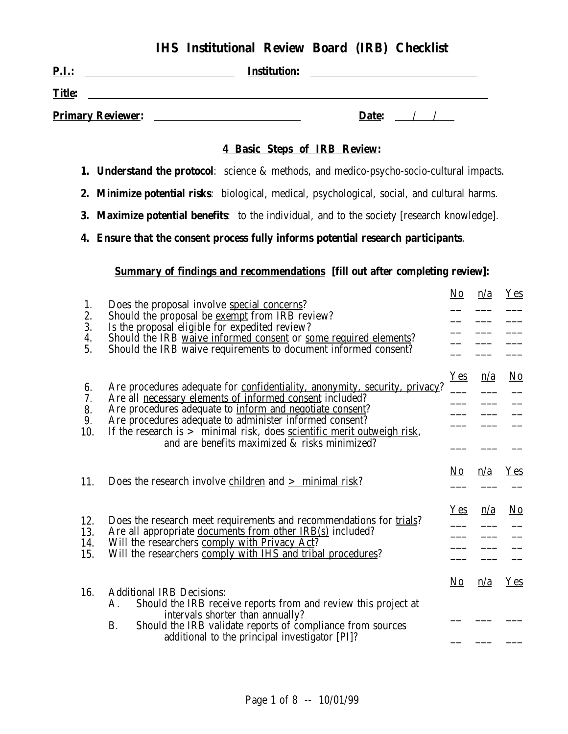# **IHS Institutional Review Board (IRB) Checklist**

| $P.I.$ :                 | <b>Institution:</b> |       |
|--------------------------|---------------------|-------|
| <b>Title:</b>            |                     |       |
| <b>Primary Reviewer:</b> |                     | Date: |

#### **4 Basic Steps of IRB Review:**

- **1. Understand the protocol**: science & methods, and medico-psycho-socio-cultural impacts.
- **2. Minimize potential risks**: biological, medical, psychological, social, and cultural harms.
- **3. Maximize potential benefits**: to the individual, and to the society [research knowledge].
- **4. Ensure that the consent process fully informs potential research participants**.

#### **Summary of findings and recommendations [fill out after completing review]:**

| 1.<br>2.<br>3.<br>4.<br>5.  | Does the proposal involve special concerns?<br>Should the proposal be <u>exempt</u> from IRB review?<br>Is the proposal eligible for expedited review?<br>Should the IRB waive informed consent or some required elements?<br>Should the IRB waive requirements to document informed consent?                                                                                                       | No         | n/a | <b>Yes</b>             |
|-----------------------------|-----------------------------------------------------------------------------------------------------------------------------------------------------------------------------------------------------------------------------------------------------------------------------------------------------------------------------------------------------------------------------------------------------|------------|-----|------------------------|
| 6.<br>7.<br>8.<br>9.<br>10. | Are procedures adequate for confidentiality, anonymity, security, privacy?<br>Are all necessary elements of informed consent included?<br>Are procedures adequate to inform and negotiate consent?<br>Are procedures adequate to administer informed consent?<br>If the research is $>$ minimal risk, does <u>scientific merit outweigh risk</u> ,<br>and are benefits maximized & risks minimized? | <b>Yes</b> | n/a | $\overline{\text{No}}$ |
| 11.                         | Does the research involve children and $\geq$ minimal risk?                                                                                                                                                                                                                                                                                                                                         | No         | n/a | Yes                    |
| 12.<br>13.<br>14.<br>15.    | Does the research meet requirements and recommendations for trials?<br>Are all appropriate documents from other IRB(s) included?<br>Will the researchers comply with Privacy Act?<br>Will the researchers comply with IHS and tribal procedures?                                                                                                                                                    | $Yes$      | n/a | N <sub>0</sub>         |
| 16.                         | <b>Additional IRB Decisions:</b><br>Should the IRB receive reports from and review this project at<br>Α.<br>intervals shorter than annually?<br><b>B.</b><br>Should the IRB validate reports of compliance from sources<br>additional to the principal investigator [PI]?                                                                                                                           | <u>No</u>  | n/a | $Y_{es}$               |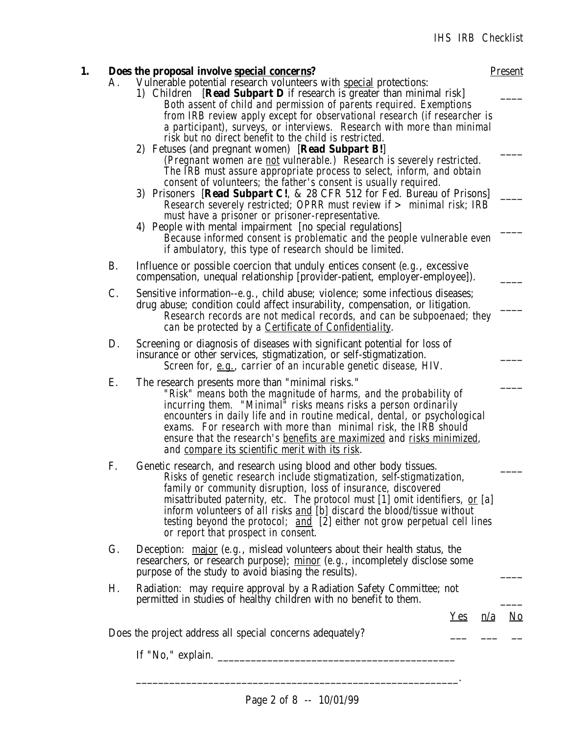|           | Does the proposal involve special concerns?                                                                                                                                                                                                                                                                                                                                                                                                                                                                                                                                                                                                                                                                                                                                                       | <b>Present</b>    |  |  |  |  |
|-----------|---------------------------------------------------------------------------------------------------------------------------------------------------------------------------------------------------------------------------------------------------------------------------------------------------------------------------------------------------------------------------------------------------------------------------------------------------------------------------------------------------------------------------------------------------------------------------------------------------------------------------------------------------------------------------------------------------------------------------------------------------------------------------------------------------|-------------------|--|--|--|--|
| Α.        | Vulnerable potential research volunteers with special protections:<br>1) Children [Read Subpart D if research is greater than minimal risk]<br>Both assent of child and permission of parents required. Exemptions<br>from IRB review apply except for observational research (if researcher is<br>a participant), surveys, or interviews. Research with more than minimal<br>risk but no direct benefit to the child is restricted.<br>2) Fetuses (and pregnant women) [Read Subpart B!]<br>(Pregnant women are <u>not</u> vulnerable.) Research is severely restricted.<br>The IRB must assure appropriate process to select, inform, and obtain<br>consent of volunteers; the father's consent is usually required.<br>3) Prisoners [Read Subpart C!, & 28 CFR 512 for Fed. Bureau of Prisons] |                   |  |  |  |  |
|           | Research severely restricted; OPRR must review if > minimal risk; IRB<br>must have a prisoner or prisoner-representative.<br>4) People with mental impairment [no special regulations]<br>Because informed consent is problematic and the people vulnerable even<br>if ambulatory, this type of research should be limited.                                                                                                                                                                                                                                                                                                                                                                                                                                                                       |                   |  |  |  |  |
| <b>B.</b> | Influence or possible coercion that unduly entices consent $(e.g.,$ excessive<br>compensation, unequal relationship [provider-patient, employer-employee]).                                                                                                                                                                                                                                                                                                                                                                                                                                                                                                                                                                                                                                       |                   |  |  |  |  |
| C.        | Sensitive information--e.g., child abuse; violence; some infectious diseases;<br>drug abuse; condition could affect insurability, compensation, or litigation.<br>Research records are not medical records, and can be subpoenaed; they<br>can be protected by a Certificate of Confidentiality.                                                                                                                                                                                                                                                                                                                                                                                                                                                                                                  |                   |  |  |  |  |
| D.        | Screening or diagnosis of diseases with significant potential for loss of<br>insurance or other services, stigmatization, or self-stigmatization.<br>Screen for, e.g., carrier of an incurable genetic disease, HIV.                                                                                                                                                                                                                                                                                                                                                                                                                                                                                                                                                                              |                   |  |  |  |  |
| Ε.        | The research presents more than "minimal risks."<br>"Risk" means both the magnitude of harms, and the probability of<br>incurring them. "Minimal" risks means risks a person ordinarily<br>encounters in daily life and in routine medical, dental, or psychological<br>exams. For research with more than minimal risk, the IRB should<br>ensure that the research's <u>benefits are maximized</u> and <u>risks minimized</u> ,<br>and compare its scientific merit with its risk.                                                                                                                                                                                                                                                                                                               |                   |  |  |  |  |
| F.        | Genetic research, and research using blood and other body tissues.<br>Risks of genetic research include stigmatization, self-stigmatization,<br>family or community disruption, loss of insurance, discovered<br>misattributed paternity, etc. The protocol must [1] omit identifiers, or [a]<br>inform volunteers of all risks and [b] discard the blood/tissue without<br>testing beyond the protocol; and [2] either not grow perpetual cell lines<br>or report that prospect in consent.                                                                                                                                                                                                                                                                                                      |                   |  |  |  |  |
| G.        | Deception: $\overline{\text{major}}$ (e.g., mislead volunteers about their health status, the<br>researchers, or research purpose); minor (e.g., incompletely disclose some<br>purpose of the study to avoid biasing the results).                                                                                                                                                                                                                                                                                                                                                                                                                                                                                                                                                                |                   |  |  |  |  |
| Η.        | Radiation: may require approval by a Radiation Safety Committee; not<br>permitted in studies of healthy children with no benefit to them.                                                                                                                                                                                                                                                                                                                                                                                                                                                                                                                                                                                                                                                         |                   |  |  |  |  |
|           |                                                                                                                                                                                                                                                                                                                                                                                                                                                                                                                                                                                                                                                                                                                                                                                                   | <u>Yes n/a No</u> |  |  |  |  |
|           | Does the project address all special concerns adequately?                                                                                                                                                                                                                                                                                                                                                                                                                                                                                                                                                                                                                                                                                                                                         |                   |  |  |  |  |
|           |                                                                                                                                                                                                                                                                                                                                                                                                                                                                                                                                                                                                                                                                                                                                                                                                   |                   |  |  |  |  |
|           |                                                                                                                                                                                                                                                                                                                                                                                                                                                                                                                                                                                                                                                                                                                                                                                                   |                   |  |  |  |  |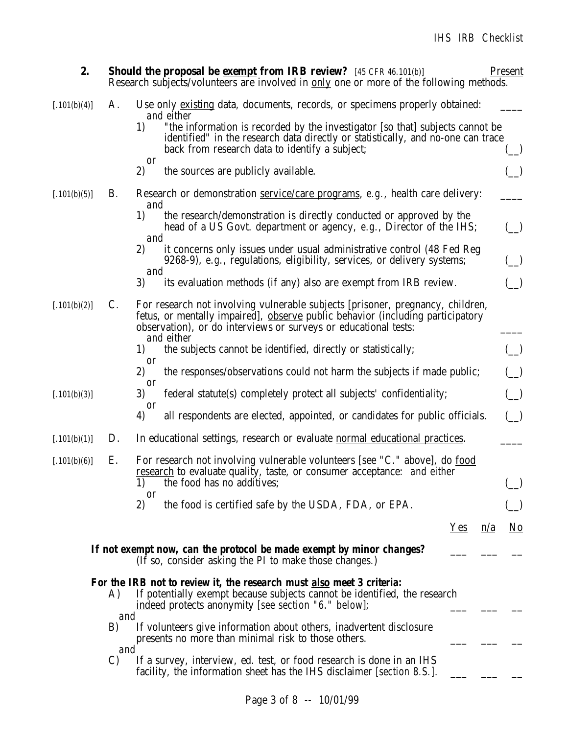| 2.           |                      | <b>Should the proposal be exampt from IRB review?</b> [45 CFR 46.101(b)]<br>Research subjects/volunteers are involved in <u>only</u> one or more of the following methods.                                                                               | <b>Present</b>            |
|--------------|----------------------|----------------------------------------------------------------------------------------------------------------------------------------------------------------------------------------------------------------------------------------------------------|---------------------------|
| [.101(b)(4)] | Α.                   | Use only existing data, documents, records, or specimens properly obtained:                                                                                                                                                                              |                           |
|              |                      | and either<br>"the information is recorded by the investigator [so that] subjects cannot be<br>1)<br>identified" in the research data directly or statistically, and no-one can trace<br>back from research data to identify a subject;                  |                           |
|              |                      | <b>or</b><br>2)<br>the sources are publicly available.                                                                                                                                                                                                   |                           |
| [.101(b)(5)] | <b>B.</b>            | Research or demonstration service/care programs, e.g., health care delivery:                                                                                                                                                                             |                           |
|              |                      | and<br>1)<br>the research/demonstration is directly conducted or approved by the<br>head of a US Govt. department or agency, e.g., Director of the IHS;<br>and                                                                                           |                           |
|              |                      | 2)<br>it concerns only issues under usual administrative control (48 Fed Reg<br>9268-9), e.g., regulations, eligibility, services, or delivery systems;<br>and                                                                                           |                           |
|              |                      | 3)<br>its evaluation methods (if any) also are exempt from IRB review.                                                                                                                                                                                   |                           |
| [.101(b)(2)] | $\mathcal{C}$ .      | For research not involving vulnerable subjects [prisoner, pregnancy, children,<br>fetus, or mentally impaired], observe public behavior (including participatory<br>observation), or do <i>interviews</i> or surveys or educational tests:<br>and either |                           |
|              |                      | the subjects cannot be identified, directly or statistically;<br>1)                                                                                                                                                                                      |                           |
|              |                      | <b>or</b><br>2)<br>the responses/observations could not harm the subjects if made public;                                                                                                                                                                |                           |
| [.101(b)(3)] |                      | <sub>or</sub><br>3)<br>federal statute(s) completely protect all subjects' confidentiality;                                                                                                                                                              |                           |
|              |                      | <sub>or</sub><br>all respondents are elected, appointed, or candidates for public officials.<br>4)                                                                                                                                                       |                           |
| [.101(b)(1)] | D.                   | In educational settings, research or evaluate normal educational practices.                                                                                                                                                                              |                           |
| [.101(b)(6)] | Ε.                   | For research not involving vulnerable volunteers [see "C." above], do food<br><u>research</u> to evaluate quality, taste, or consumer acceptance: and either<br>the food has no additives;<br>1)                                                         |                           |
|              |                      | <sub>or</sub><br>2)<br>the food is certified safe by the USDA, FDA, or EPA.                                                                                                                                                                              |                           |
|              |                      | Yes<br>$\underline{n}/\underline{a}$                                                                                                                                                                                                                     | $\underline{\mathrm{No}}$ |
|              |                      | If not exempt now, can the protocol be made exempt by minor changes?<br>(If so, consider asking the PI to make those changes.)                                                                                                                           |                           |
|              | A)                   | For the IRB not to review it, the research must also meet 3 criteria:<br>If potentially exempt because subjects cannot be identified, the research<br>indeed protects anonymity [see section "6." below];                                                |                           |
|              | and<br>B)            | If volunteers give information about others, inadvertent disclosure<br>presents no more than minimal risk to those others.                                                                                                                               |                           |
|              | and<br>$\mathcal{C}$ | If a survey, interview, ed. test, or food research is done in an IHS<br>facility, the information sheet has the IHS disclaimer [section 8.S.].                                                                                                           |                           |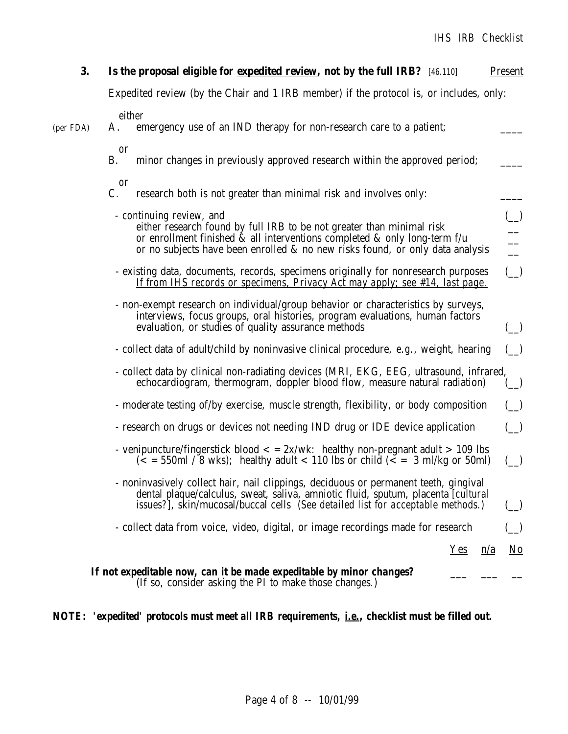| 3.        | Is the proposal eligible for expedited review, not by the full IRB? [46.110]                                                                                                                                                                                            | <b>Present</b>                                                                      |
|-----------|-------------------------------------------------------------------------------------------------------------------------------------------------------------------------------------------------------------------------------------------------------------------------|-------------------------------------------------------------------------------------|
|           | Expedited review (by the Chair and 1 IRB member) if the protocol is, or includes, only:                                                                                                                                                                                 |                                                                                     |
| (per FDA) | either<br>emergency use of an IND therapy for non-research care to a patient;<br>A.                                                                                                                                                                                     |                                                                                     |
|           | <b>or</b><br>minor changes in previously approved research within the approved period;<br>Β.                                                                                                                                                                            |                                                                                     |
|           | <b>or</b><br>research both is not greater than minimal risk and involves only:<br>C.                                                                                                                                                                                    |                                                                                     |
|           | - <i>continuing review</i> , and<br>either research found by full IRB to be not greater than minimal risk<br>or enrollment finished & all interventions completed & only long-term f/u<br>or no subjects have been enrolled & no new risks found, or only data analysis | $\frac{1}{1}$ $\frac{1}{1}$ $\frac{1}{1}$ $\frac{1}{1}$ $\frac{1}{1}$ $\frac{1}{1}$ |
|           | - existing data, documents, records, specimens originally for nonresearch purposes<br><u>If from IHS records or specimens, Privacy Act may apply; see #14, last page.</u>                                                                                               |                                                                                     |
|           | - non-exempt research on individual/group behavior or characteristics by surveys,<br>interviews, focus groups, oral histories, program evaluations, human factors<br>evaluation, or studies of quality assurance methods                                                |                                                                                     |
|           | - collect data of adult/child by noninvasive clinical procedure, e.g., weight, hearing                                                                                                                                                                                  |                                                                                     |
|           | - collect data by clinical non-radiating devices (MRI, EKG, EEG, ultrasound, infrared,<br>echocardiogram, thermogram, doppler blood flow, measure natural radiation)                                                                                                    |                                                                                     |
|           | - moderate testing of/by exercise, muscle strength, flexibility, or body composition                                                                                                                                                                                    |                                                                                     |
|           | - research on drugs or devices not needing IND drug or IDE device application                                                                                                                                                                                           |                                                                                     |
|           | - venipuncture/fingerstick blood $\langle$ = 2x/wk: healthy non-pregnant adult > 109 lbs<br>$\frac{1}{5}$ = 550ml / 8 wks); healthy adult < 110 lbs or child $\frac{1}{5}$ = 3 ml/kg or 50ml)                                                                           |                                                                                     |
|           | - noninvasively collect hair, nail clippings, deciduous or permanent teeth, gingival<br>dental plaque/calculus, sweat, saliva, amniotic fluid, sputum, placenta [cultural]<br>issues?], skin/mucosal/buccal cells (See detailed list for acceptable methods.)           |                                                                                     |
|           | - collect data from voice, video, digital, or image recordings made for research                                                                                                                                                                                        |                                                                                     |
|           | Yes<br>$\underline{n}/\underline{a}$                                                                                                                                                                                                                                    | $\underline{\mathrm{No}}$                                                           |
|           | If not expeditable now, can it be made expeditable by minor changes?<br>(If so, consider asking the PI to make those changes.)                                                                                                                                          |                                                                                     |

## *NOTE: 'expedited' protocols must meet all IRB requirements, i.e., checklist must be filled out.*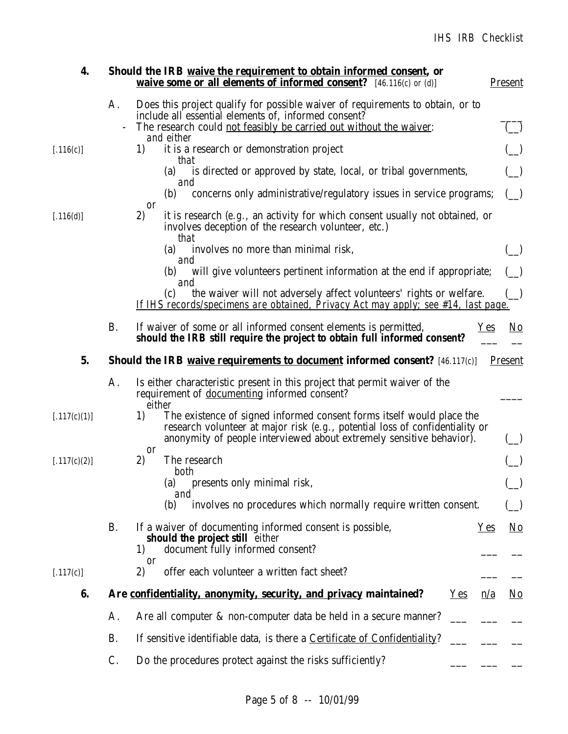| 4.           |           | Should the IRB waive the requirement to obtain informed consent, or<br><b>waive some or all elements of informed consent?</b> [46.116(c) or (d)]                                                                                    | <b>Present</b>            |
|--------------|-----------|-------------------------------------------------------------------------------------------------------------------------------------------------------------------------------------------------------------------------------------|---------------------------|
|              | A.        | Does this project qualify for possible waiver of requirements to obtain, or to<br>include all essential elements of, informed consent?<br>The research could not feasibly be carried out without the waiver:                        |                           |
|              |           | and either                                                                                                                                                                                                                          |                           |
| [.116(c)]    |           | it is a research or demonstration project<br>1)<br>that                                                                                                                                                                             |                           |
|              |           | is directed or approved by state, local, or tribal governments,<br>(a)<br>and                                                                                                                                                       |                           |
|              |           | concerns only administrative/regulatory issues in service programs;<br>(b)<br><b>or</b>                                                                                                                                             |                           |
| [.116(d)]    |           | 2)<br>it is research $(e.g.,$ an activity for which consent usually not obtained, or<br>involves deception of the research volunteer, etc.)<br>that                                                                                 |                           |
|              |           | involves no more than minimal risk,<br>(a)<br>and                                                                                                                                                                                   |                           |
|              |           | will give volunteers pertinent information at the end if appropriate;<br>(b)                                                                                                                                                        |                           |
|              |           | and<br>the waiver will not adversely affect volunteers' rights or welfare.<br>(c)<br><u>If IHS records/specimens are obtained. Privacy Act may apply: see #14, last page.</u>                                                       |                           |
|              | <b>B.</b> | If waiver of some or all informed consent elements is permitted,<br>$Yes$<br>should the IRB still require the project to obtain full informed consent?                                                                              | <u>No</u>                 |
| 5.           |           | <b>Should the IRB waive requirements to document informed consent?</b> [46.117(c)]                                                                                                                                                  | <b>Present</b>            |
|              | A.        | Is either characteristic present in this project that permit waiver of the<br>requirement of documenting informed consent?<br>either                                                                                                |                           |
| [.117(c)(1)] |           | The existence of signed informed consent forms itself would place the<br>1)<br>research volunteer at major risk (e.g., potential loss of confidentiality or<br>anonymity of people interviewed about extremely sensitive behavior). |                           |
| [.117(c)(2)] |           | <b>or</b><br>2)<br>The research                                                                                                                                                                                                     |                           |
|              |           | both                                                                                                                                                                                                                                |                           |
|              |           | (a)<br>presents only minimal risk,<br>and                                                                                                                                                                                           |                           |
|              |           | involves no procedures which normally require written consent.<br>(b)                                                                                                                                                               |                           |
|              | <b>B.</b> | If a waiver of documenting informed consent is possible,<br>$Yes$<br>should the project still either                                                                                                                                | $\underline{\mathrm{No}}$ |
|              |           | document fully informed consent?<br>1)<br>0r                                                                                                                                                                                        |                           |
| [.117(c)]    |           | offer each volunteer a written fact sheet?<br>2)                                                                                                                                                                                    |                           |
| 6.           |           | Are confidentiality, anonymity, security, and privacy maintained?<br>$Yes$<br>n/a                                                                                                                                                   | $\underline{\mathrm{No}}$ |
|              | Α.        | Are all computer & non-computer data be held in a secure manner?                                                                                                                                                                    |                           |
|              | <b>B.</b> | If sensitive identifiable data, is there a Certificate of Confidentiality?                                                                                                                                                          |                           |
|              | C.        | Do the procedures protect against the risks sufficiently?                                                                                                                                                                           |                           |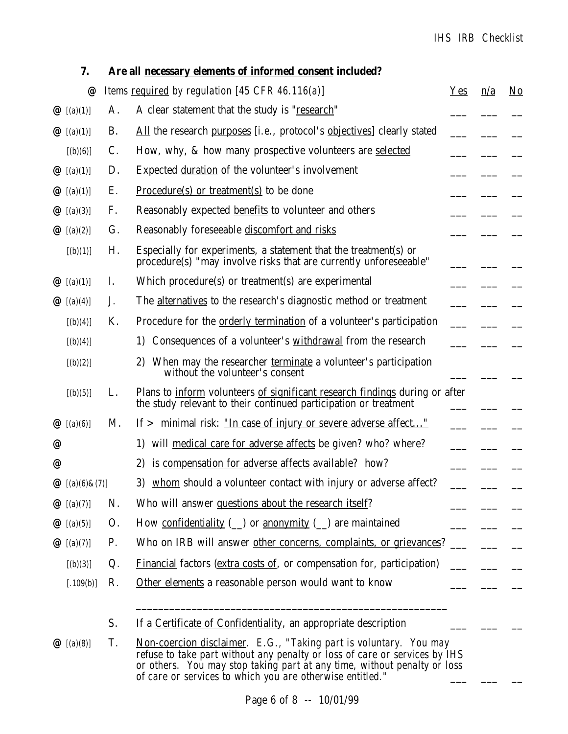#### *IHS IRB Checklist*

|   | 7.                              |    | Are all necessary elements of informed consent included?                                                                                                                                                                                                                                 |            |     |                        |
|---|---------------------------------|----|------------------------------------------------------------------------------------------------------------------------------------------------------------------------------------------------------------------------------------------------------------------------------------------|------------|-----|------------------------|
|   | @                               |    | Items required by regulation [45 CFR 46.116(a)]                                                                                                                                                                                                                                          | <b>Yes</b> | n/a | $\overline{\text{No}}$ |
|   | $Q\left[ (a)(1) \right]$        | A. | A clear statement that the study is "research"                                                                                                                                                                                                                                           |            |     |                        |
|   | $Q\left[ (a)(1) \right]$        | B. | All the research purposes [i.e., protocol's objectives] clearly stated                                                                                                                                                                                                                   |            |     |                        |
|   | [(b)(6)]                        | C. | How, why, & how many prospective volunteers are selected                                                                                                                                                                                                                                 |            |     |                        |
|   | $Q\left[ (a)(1) \right]$        | D. | Expected duration of the volunteer's involvement                                                                                                                                                                                                                                         |            |     |                        |
|   | $Q\left[ (a)(1) \right]$        | Ε. | Procedure(s) or treatment(s) to be done                                                                                                                                                                                                                                                  |            |     |                        |
|   | $Q\ (a)(3)$                     | F. | Reasonably expected benefits to volunteer and others                                                                                                                                                                                                                                     |            |     |                        |
|   | $Q\ (a)(2)$                     | G. | Reasonably foreseeable discomfort and risks                                                                                                                                                                                                                                              |            |     |                        |
|   | [(b)(1)]                        | Η. | Especially for experiments, a statement that the treatment(s) or<br>procedure(s) "may involve risks that are currently unforeseeable"                                                                                                                                                    |            |     |                        |
|   | $Q\left[ (a)(1) \right]$        | 1. | Which procedure(s) or treatment(s) are experimental                                                                                                                                                                                                                                      |            |     |                        |
|   | $Q\ (a)(4)$                     | J. | The alternatives to the research's diagnostic method or treatment                                                                                                                                                                                                                        |            |     |                        |
|   | [(b)(4)]                        | K. | Procedure for the orderly termination of a volunteer's participation                                                                                                                                                                                                                     |            |     |                        |
|   | [(b)(4)]                        |    | Consequences of a volunteer's withdrawal from the research<br>1)                                                                                                                                                                                                                         |            |     |                        |
|   | [(b)(2)]                        |    | When may the researcher terminate a volunteer's participation<br>2)<br>without the volunteer's consent                                                                                                                                                                                   |            |     |                        |
|   | [(b)(5)]                        | L. | Plans to inform volunteers of significant research findings during or after<br>the study relevant to their continued participation or treatment                                                                                                                                          |            |     |                        |
|   | $Q \big( a \big) (6)$           | M. | If $>$ minimal risk: <u>"In case of injury or severe adverse affect"</u>                                                                                                                                                                                                                 |            |     |                        |
| @ |                                 |    | 1) will medical care for adverse affects be given? who? where?                                                                                                                                                                                                                           |            |     |                        |
| @ |                                 |    | is compensation for adverse affects available? how?<br>2)                                                                                                                                                                                                                                |            |     |                        |
|   | $Q\left[ (a)(6) \& (7) \right]$ |    | 3) whom should a volunteer contact with injury or adverse affect?                                                                                                                                                                                                                        |            |     |                        |
|   | $Q\left[ (a)(7) \right]$        | N. | Who will answer questions about the research itself?                                                                                                                                                                                                                                     |            |     |                        |
|   | $Q\ (a)(5)$                     | 0. | How confidentiality $(\_)$ or anonymity $(\_)$ are maintained                                                                                                                                                                                                                            |            |     |                        |
|   | $Q\left[ (a)(7) \right]$        | P. | Who on IRB will answer other concerns, complaints, or grievances?                                                                                                                                                                                                                        |            |     |                        |
|   | [(b)(3)]                        | Q. | <b>Financial factors (extra costs of, or compensation for, participation)</b>                                                                                                                                                                                                            |            |     |                        |
|   | [.109(b)]                       | R. | Other elements a reasonable person would want to know                                                                                                                                                                                                                                    |            |     |                        |
|   |                                 | S. | If a Certificate of Confidentiality, an appropriate description                                                                                                                                                                                                                          |            |     |                        |
|   | $Q\ (a)(8)$                     | T. | Non-coercion disclaimer. E.G., "Taking part is voluntary. You may<br>refuse to take part without any penalty or loss of care or services by IHS<br>or others. You may stop taking part at any time, without penalty or loss<br>of care or services to which you are otherwise entitled." |            |     |                        |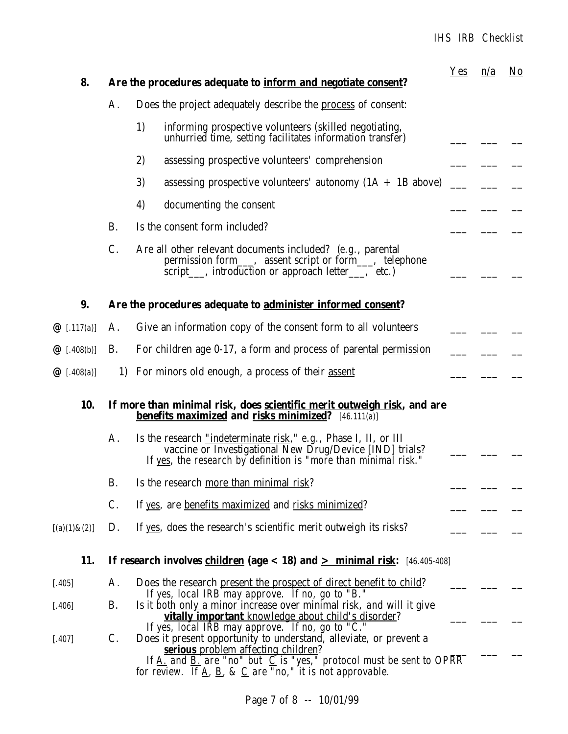# *IHS IRB Checklist*

| 8.                |           | Are the procedures adequate to inform and negotiate consent?                                                                                                                                                                                                                                                                                                                                                   | $Yes$ | n/a | $\underline{\mathrm{No}}$ |
|-------------------|-----------|----------------------------------------------------------------------------------------------------------------------------------------------------------------------------------------------------------------------------------------------------------------------------------------------------------------------------------------------------------------------------------------------------------------|-------|-----|---------------------------|
|                   | A.        | Does the project adequately describe the process of consent:                                                                                                                                                                                                                                                                                                                                                   |       |     |                           |
|                   |           | 1)<br>informing prospective volunteers (skilled negotiating,<br>unhurried time, setting facilitates information transfer)                                                                                                                                                                                                                                                                                      |       |     |                           |
|                   |           | 2)<br>assessing prospective volunteers' comprehension                                                                                                                                                                                                                                                                                                                                                          |       |     |                           |
|                   |           | 3)<br>assessing prospective volunteers' autonomy $(1A + 1B$ above)                                                                                                                                                                                                                                                                                                                                             |       |     |                           |
|                   |           | 4)<br>documenting the consent                                                                                                                                                                                                                                                                                                                                                                                  |       |     |                           |
|                   | <b>B.</b> | Is the consent form included?                                                                                                                                                                                                                                                                                                                                                                                  |       |     |                           |
|                   | C.        | Are all other relevant documents included? (e.g., parental<br>permission form____, assent script or form____, telephone<br>script___, introduction or approach letter___, etc.)                                                                                                                                                                                                                                |       |     |                           |
| 9.                |           | Are the procedures adequate to administer informed consent?                                                                                                                                                                                                                                                                                                                                                    |       |     |                           |
| $@$ [.117(a)]     | A.        | Give an information copy of the consent form to all volunteers                                                                                                                                                                                                                                                                                                                                                 |       |     |                           |
| $@$ [.408(b)]     | <b>B.</b> | For children age 0-17, a form and process of <u>parental permission</u>                                                                                                                                                                                                                                                                                                                                        |       |     |                           |
| $@$ [.408(a)]     |           | 1) For minors old enough, a process of their <u>assent</u>                                                                                                                                                                                                                                                                                                                                                     |       |     |                           |
| 10.               |           | If more than minimal risk, does <u>scientific merit outweigh risk</u> , and are<br><b>benefits maximized and risks minimized?</b> [46.111(a)]                                                                                                                                                                                                                                                                  |       |     |                           |
|                   | A.        | Is the research <u>"indeterminate risk,</u> " $e.g.,$ Phase I, II, or III<br>vaccine or Investigational New Drug/Device [IND] trials?<br>If yes, the research by definition is "more than minimal risk."                                                                                                                                                                                                       |       |     |                           |
|                   | B.        | Is the research more than minimal risk?                                                                                                                                                                                                                                                                                                                                                                        |       |     |                           |
|                   | C.        | If yes, are benefits maximized and risks minimized?                                                                                                                                                                                                                                                                                                                                                            |       |     |                           |
| $[(a)(1) \& (2)]$ | D.        | If yes, does the research's scientific merit outweigh its risks?                                                                                                                                                                                                                                                                                                                                               |       |     |                           |
| 11.               |           | If research involves children (age $<$ 18) and $\geq$ minimal risk: [46.405-408]                                                                                                                                                                                                                                                                                                                               |       |     |                           |
| [.405]            | Α.        | Does the research present the prospect of direct benefit to child?<br>If yes, local IRB may approve. If no, go to "B."                                                                                                                                                                                                                                                                                         |       |     |                           |
| $[.406]$          | <b>B.</b> | Is it both only a minor increase over minimal risk, and will it give<br>vitally important knowledge about child's disorder?                                                                                                                                                                                                                                                                                    |       |     |                           |
| $[.407]$          | C.        | If yes, local IRB may approve. If no, go to "C."<br>Does it present opportunity to understand, alleviate, or prevent a<br><b>serious</b> problem affecting children?<br>If $\underline{A}$ , and $\underline{B}$ , are "no" but $\underline{C}$ is "yes," protocol must be sent to OPRR<br>for review. If $\underline{A}$ , $\underline{B}$ , $\underline{\&}$ $\underline{C}$ are "no," it is not approvable. |       |     |                           |